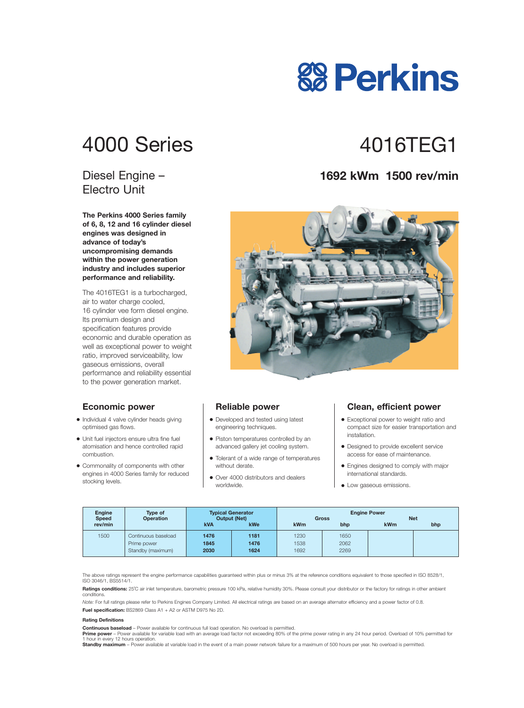## 4000 Series 4016TFG1

#### Diesel Engine – Electro Unit

**The Perkins 4000 Series family of 6, 8, 12 and 16 cylinder diesel engines was designed in advance of today's uncompromising demands within the power generation industry and includes superior performance and reliability.**

The 4016TEG1 is a turbocharged, air to water charge cooled, 16 cylinder vee form diesel engine. Its premium design and specification features provide economic and durable operation as well as exceptional power to weight ratio, improved serviceability, low gaseous emissions, overall performance and reliability essential to the power generation market.

#### **Economic power**

- **•** Individual 4 valve cylinder heads giving optimised gas flows.
- **•** Unit fuel injectors ensure ultra fine fuel atomisation and hence controlled rapid combustion.
- **•** Commonality of components with other engines in 4000 Series family for reduced stocking levels.

#### **Reliable power**

- **•** Developed and tested using latest engineering techniques.
- **•** Piston temperatures controlled by an advanced gallery jet cooling system.
- **•** Tolerant of a wide range of temperatures without derate.
- **•** Over 4000 distributors and dealers worldwide.

#### **Clean, efficient power**

- **•** Exceptional power to weight ratio and compact size for easier transportation and installation.
- **•** Designed to provide excellent service access for ease of maintenance.
- **•** Engines designed to comply with major international standards.
- **•** Low gaseous emissions.

| <b>Engine</b><br><b>Speed</b> | Type of<br><b>Operation</b> | <b>Typical Generator</b><br><b>Output (Net)</b> |      | <b>Engine Power</b><br><b>Net</b><br><b>Gross</b> |      |     |     |
|-------------------------------|-----------------------------|-------------------------------------------------|------|---------------------------------------------------|------|-----|-----|
| rev/min                       |                             | <b>kVA</b>                                      | kWe  | kWm                                               | bhp  | kWm | bhp |
| 1500                          | Continuous baseload         | 1476                                            | 1181 | 1230                                              | 1650 |     |     |
|                               | Prime power                 | 1845                                            | 1476 | 1538                                              | 2062 |     |     |
|                               | Standby (maximum)           | 2030                                            | 1624 | 1692                                              | 2269 |     |     |

The above ratings represent the engine performance capabilities guaranteed within plus or minus 3% at the reference conditions equivalent to those specified in ISO 8528/1, ISO 3046/1, BS5514/1.

**Ratings conditions:** 25°C air inlet temperature, barometric pressure 100 kPa, relative humidity 30%. Please consult your distributor or the factory for ratings in other ambient conditions.

*Note:* For full ratings please refer to Perkins Engines Company Limited. All electrical ratings are based on an average alternator efficiency and a power factor of 0.8. **Fuel specification:** BS2869 Class A1 + A2 or ASTM D975 No 2D.

#### **Rating Definitions**

**Continuous baseload** – Power available for continuous full load operation. No overload is permitted.

Prime power - Power available for variable load with an average load factor not exceeding 80% of the prime power rating in any 24 hour period. Overload of 10% permitted for 1 hour in every 12 hours operation.

**Standby maximum** – Power available at variable load in the event of a main power network failure for a maximum of 500 hours per year. No overload is permitted.

#### **1692 kWm 1500 rev/min**



# **88 Perkins**